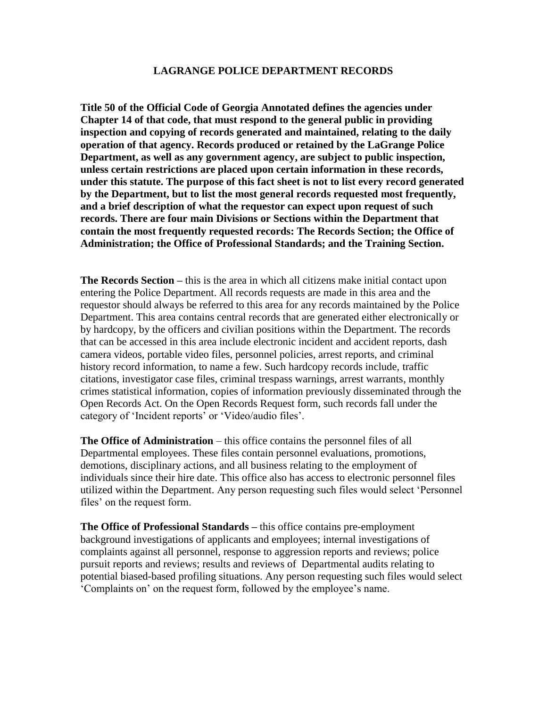## **LAGRANGE POLICE DEPARTMENT RECORDS**

**Title 50 of the Official Code of Georgia Annotated defines the agencies under Chapter 14 of that code, that must respond to the general public in providing inspection and copying of records generated and maintained, relating to the daily operation of that agency. Records produced or retained by the LaGrange Police Department, as well as any government agency, are subject to public inspection, unless certain restrictions are placed upon certain information in these records, under this statute. The purpose of this fact sheet is not to list every record generated by the Department, but to list the most general records requested most frequently, and a brief description of what the requestor can expect upon request of such records. There are four main Divisions or Sections within the Department that contain the most frequently requested records: The Records Section; the Office of Administration; the Office of Professional Standards; and the Training Section.**

**The Records Section –** this is the area in which all citizens make initial contact upon entering the Police Department. All records requests are made in this area and the requestor should always be referred to this area for any records maintained by the Police Department. This area contains central records that are generated either electronically or by hardcopy, by the officers and civilian positions within the Department. The records that can be accessed in this area include electronic incident and accident reports, dash camera videos, portable video files, personnel policies, arrest reports, and criminal history record information, to name a few. Such hardcopy records include, traffic citations, investigator case files, criminal trespass warnings, arrest warrants, monthly crimes statistical information, copies of information previously disseminated through the Open Records Act. On the Open Records Request form, such records fall under the category of 'Incident reports' or 'Video/audio files'.

**The Office of Administration** – this office contains the personnel files of all Departmental employees. These files contain personnel evaluations, promotions, demotions, disciplinary actions, and all business relating to the employment of individuals since their hire date. This office also has access to electronic personnel files utilized within the Department. Any person requesting such files would select 'Personnel files' on the request form.

**The Office of Professional Standards –** this office contains pre-employment background investigations of applicants and employees; internal investigations of complaints against all personnel, response to aggression reports and reviews; police pursuit reports and reviews; results and reviews of Departmental audits relating to potential biased-based profiling situations. Any person requesting such files would select 'Complaints on' on the request form, followed by the employee's name.